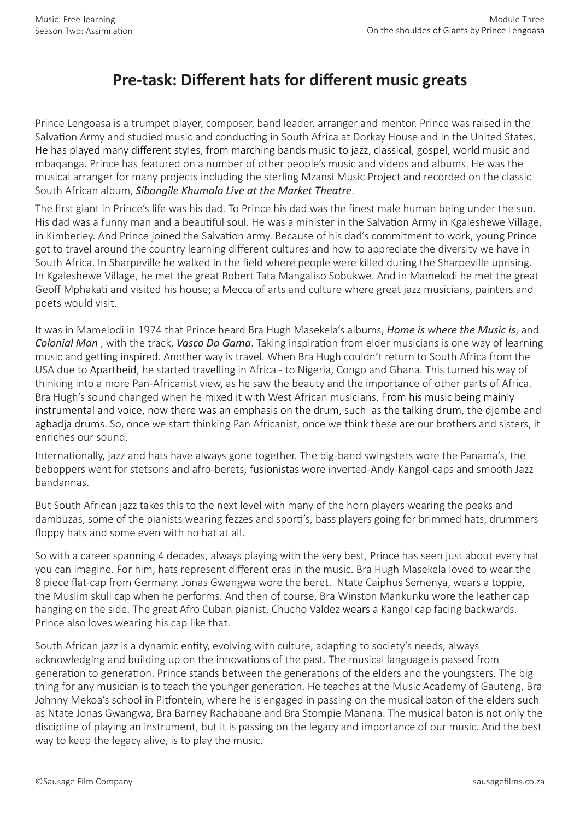## **Pre-task: Different hats for different music greats**

Prince Lengoasa is a trumpet player, composer, band leader, arranger and mentor. Prince was raised in the Salvation Army and studied music and conducting in South Africa at Dorkay House and in the United States. He has played many different styles, from marching bands music to jazz, classical, gospel, world music and mbaqanga. Prince has featured on a number of other people's music and videos and albums. He was the musical arranger for many projects including the sterling Mzansi Music Project and recorded on the classic South African album, *Sibongile Khumalo Live at the Market Theatre*.

The first giant in Prince's life was his dad. To Prince his dad was the finest male human being under the sun. His dad was a funny man and a beautiful soul. He was a minister in the Salvation Army in Kgaleshewe Village, in Kimberley. And Prince joined the Salvation army. Because of his dad's commitment to work, young Prince got to travel around the country learning different cultures and how to appreciate the diversity we have in South Africa. In Sharpeville he walked in the field where people were killed during the Sharpeville uprising. In Kgaleshewe Village, he met the great Robert Tata Mangaliso Sobukwe. And in Mamelodi he met the great Geoff Mphakati and visited his house; a Mecca of arts and culture where great jazz musicians, painters and poets would visit.

It was in Mamelodi in 1974 that Prince heard Bra Hugh Masekela's albums, *Home is where the Music is*, and *Colonial Man* , with the track, *Vasco Da Gama*. Taking inspiration from elder musicians is one way of learning music and getting inspired. Another way is travel. When Bra Hugh couldn't return to South Africa from the USA due to Apartheid, he started travelling in Africa - to Nigeria, Congo and Ghana. This turned his way of thinking into a more Pan-Africanist view, as he saw the beauty and the importance of other parts of Africa. Bra Hugh's sound changed when he mixed it with West African musicians. From his music being mainly instrumental and voice, now there was an emphasis on the drum, such as the talking drum, the djembe and agbadja drums. So, once we start thinking Pan Africanist, once we think these are our brothers and sisters, it enriches our sound.

Internationally, jazz and hats have always gone together. The big-band swingsters wore the Panama's, the beboppers went for stetsons and afro-berets, fusionistas wore inverted-Andy-Kangol-caps and smooth Jazz bandannas.

But South African jazz takes this to the next level with many of the horn players wearing the peaks and dambuzas, some of the pianists wearing fezzes and sporti's, bass players going for brimmed hats, drummers floppy hats and some even with no hat at all.

So with a career spanning 4 decades, always playing with the very best, Prince has seen just about every hat you can imagine. For him, hats represent different eras in the music. Bra Hugh Masekela loved to wear the 8 piece flat-cap from Germany. Jonas Gwangwa wore the beret. Ntate Caiphus Semenya, wears a toppie, the Muslim skull cap when he performs. And then of course, Bra Winston Mankunku wore the leather cap hanging on the side. The great Afro Cuban pianist, Chucho Valdez wears a Kangol cap facing backwards. Prince also loves wearing his cap like that.

South African jazz is a dynamic entity, evolving with culture, adapting to society's needs, always acknowledging and building up on the innovations of the past. The musical language is passed from generation to generation. Prince stands between the generations of the elders and the youngsters. The big thing for any musician is to teach the younger generation. He teaches at the Music Academy of Gauteng, Bra Johnny Mekoa's school in Pitfontein, where he is engaged in passing on the musical baton of the elders such as Ntate Jonas Gwangwa, Bra Barney Rachabane and Bra Stompie Manana. The musical baton is not only the discipline of playing an instrument, but it is passing on the legacy and importance of our music. And the best way to keep the legacy alive, is to play the music.